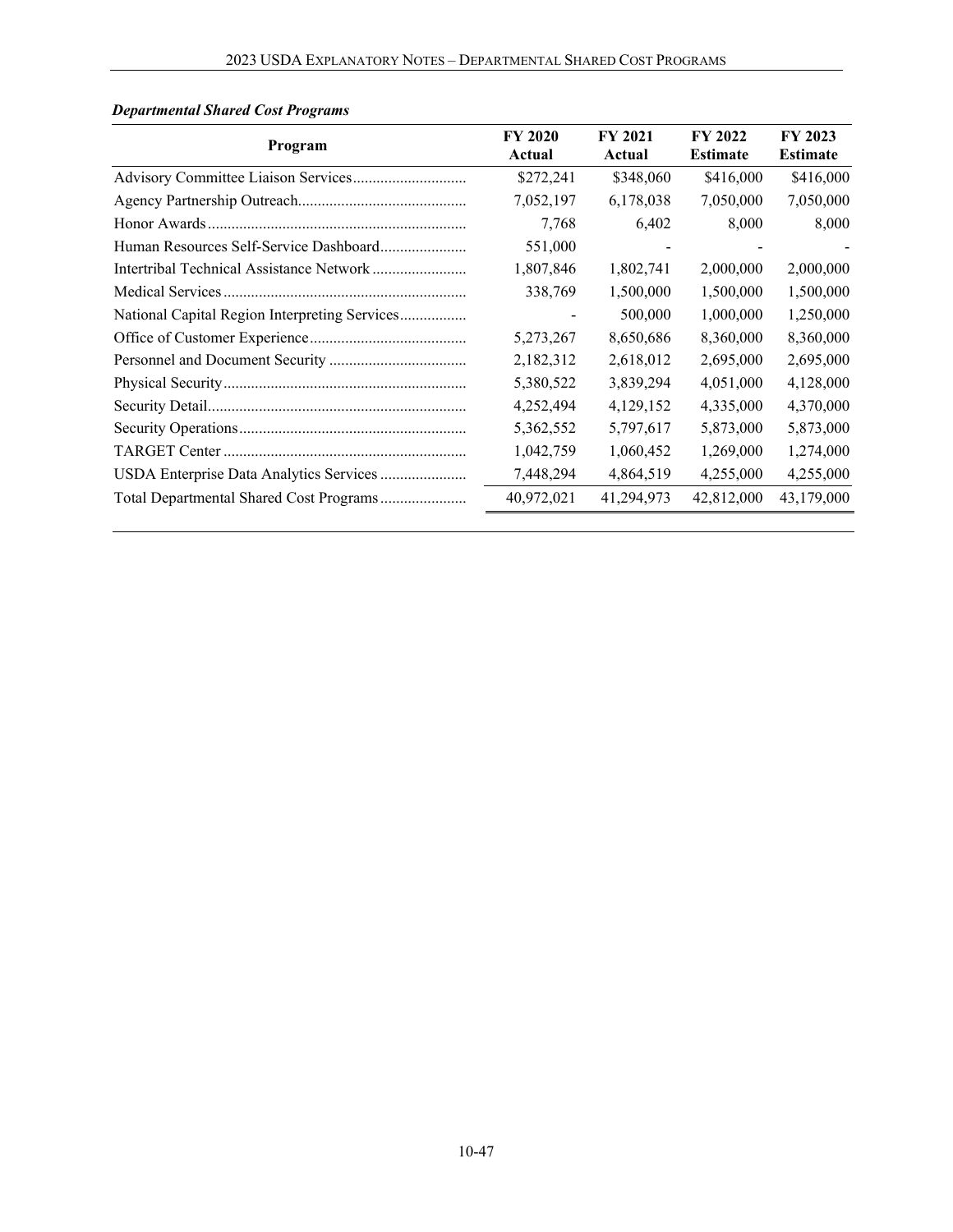| Program                                 | <b>FY 2020</b><br>Actual | <b>FY 2021</b><br>Actual | FY 2022<br><b>Estimate</b> | FY 2023<br><b>Estimate</b> |
|-----------------------------------------|--------------------------|--------------------------|----------------------------|----------------------------|
|                                         | \$272,241                | \$348,060                | \$416,000                  | \$416,000                  |
|                                         | 7,052,197                | 6,178,038                | 7,050,000                  | 7,050,000                  |
|                                         | 7,768                    | 6,402                    | 8,000                      | 8,000                      |
|                                         | 551,000                  |                          |                            |                            |
|                                         | 1,807,846                | 1,802,741                | 2,000,000                  | 2,000,000                  |
|                                         | 338,769                  | 1,500,000                | 1,500,000                  | 1,500,000                  |
|                                         |                          | 500,000                  | 1,000,000                  | 1,250,000                  |
|                                         | 5,273,267                | 8,650,686                | 8,360,000                  | 8,360,000                  |
|                                         | 2,182,312                | 2,618,012                | 2,695,000                  | 2,695,000                  |
|                                         | 5,380,522                | 3,839,294                | 4,051,000                  | 4,128,000                  |
|                                         | 4,252,494                | 4,129,152                | 4,335,000                  | 4,370,000                  |
|                                         | 5,362,552                | 5,797,617                | 5,873,000                  | 5,873,000                  |
|                                         | 1,042,759                | 1,060,452                | 1,269,000                  | 1,274,000                  |
| USDA Enterprise Data Analytics Services | 7,448,294                | 4,864,519                | 4,255,000                  | 4,255,000                  |
| Total Departmental Shared Cost Programs | 40,972,021               | 41,294,973               | 42,812,000                 | 43,179,000                 |

# *Departmental Shared Cost Programs*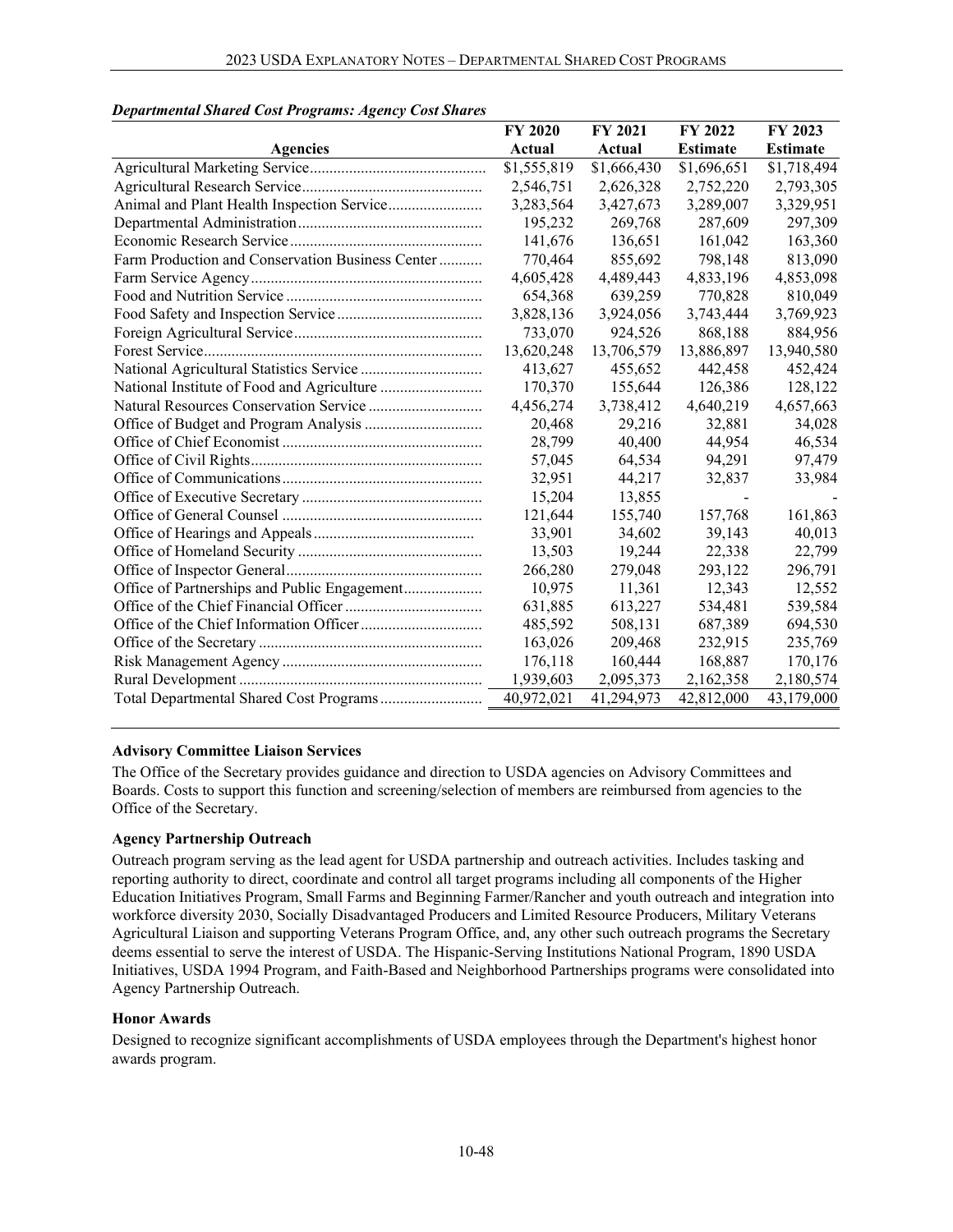|                                                  | <b>FY 2020</b> | <b>FY 2021</b> | <b>FY 2022</b>  | FY 2023         |
|--------------------------------------------------|----------------|----------------|-----------------|-----------------|
| <b>Agencies</b>                                  | Actual         | Actual         | <b>Estimate</b> | <b>Estimate</b> |
|                                                  | \$1,555,819    | \$1,666,430    | \$1,696,651     | \$1,718,494     |
|                                                  | 2,546,751      | 2,626,328      | 2,752,220       | 2,793,305       |
| Animal and Plant Health Inspection Service       | 3,283,564      | 3,427,673      | 3,289,007       | 3,329,951       |
|                                                  | 195,232        | 269,768        | 287,609         | 297,309         |
|                                                  | 141,676        | 136,651        | 161,042         | 163,360         |
| Farm Production and Conservation Business Center | 770,464        | 855,692        | 798,148         | 813,090         |
|                                                  | 4,605,428      | 4,489,443      | 4,833,196       | 4,853,098       |
|                                                  | 654,368        | 639,259        | 770,828         | 810,049         |
|                                                  | 3,828,136      | 3,924,056      | 3,743,444       | 3,769,923       |
|                                                  | 733,070        | 924,526        | 868,188         | 884,956         |
|                                                  | 13,620,248     | 13,706,579     | 13,886,897      | 13,940,580      |
|                                                  | 413,627        | 455,652        | 442,458         | 452,424         |
|                                                  | 170,370        | 155,644        | 126,386         | 128,122         |
|                                                  | 4,456,274      | 3,738,412      | 4,640,219       | 4,657,663       |
|                                                  | 20,468         | 29,216         | 32,881          | 34,028          |
|                                                  | 28,799         | 40,400         | 44,954          | 46,534          |
|                                                  | 57,045         | 64,534         | 94,291          | 97,479          |
|                                                  | 32,951         | 44,217         | 32,837          | 33,984          |
|                                                  | 15,204         | 13,855         |                 |                 |
|                                                  | 121,644        | 155,740        | 157,768         | 161,863         |
|                                                  | 33,901         | 34,602         | 39,143          | 40,013          |
|                                                  | 13,503         | 19,244         | 22,338          | 22,799          |
|                                                  | 266,280        | 279,048        | 293,122         | 296,791         |
| Office of Partnerships and Public Engagement     | 10,975         | 11,361         | 12,343          | 12,552          |
|                                                  | 631,885        | 613,227        | 534,481         | 539,584         |
|                                                  | 485,592        | 508,131        | 687,389         | 694,530         |
|                                                  | 163,026        | 209,468        | 232,915         | 235,769         |
|                                                  | 176,118        | 160,444        | 168,887         | 170,176         |
|                                                  | 1,939,603      | 2,095,373      | 2,162,358       | 2,180,574       |
|                                                  | 40,972,021     | 41,294,973     | 42,812,000      | 43,179,000      |

## *Departmental Shared Cost Programs: Agency Cost Shares*

## **Advisory Committee Liaison Services**

The Office of the Secretary provides guidance and direction to USDA agencies on Advisory Committees and Boards. Costs to support this function and screening/selection of members are reimbursed from agencies to the Office of the Secretary.

## **Agency Partnership Outreach**

Outreach program serving as the lead agent for USDA partnership and outreach activities. Includes tasking and reporting authority to direct, coordinate and control all target programs including all components of the Higher Education Initiatives Program, Small Farms and Beginning Farmer/Rancher and youth outreach and integration into workforce diversity 2030, Socially Disadvantaged Producers and Limited Resource Producers, Military Veterans Agricultural Liaison and supporting Veterans Program Office, and, any other such outreach programs the Secretary deems essential to serve the interest of USDA. The Hispanic-Serving Institutions National Program, 1890 USDA Initiatives, USDA 1994 Program, and Faith-Based and Neighborhood Partnerships programs were consolidated into Agency Partnership Outreach.

#### **Honor Awards**

Designed to recognize significant accomplishments of USDA employees through the Department's highest honor awards program.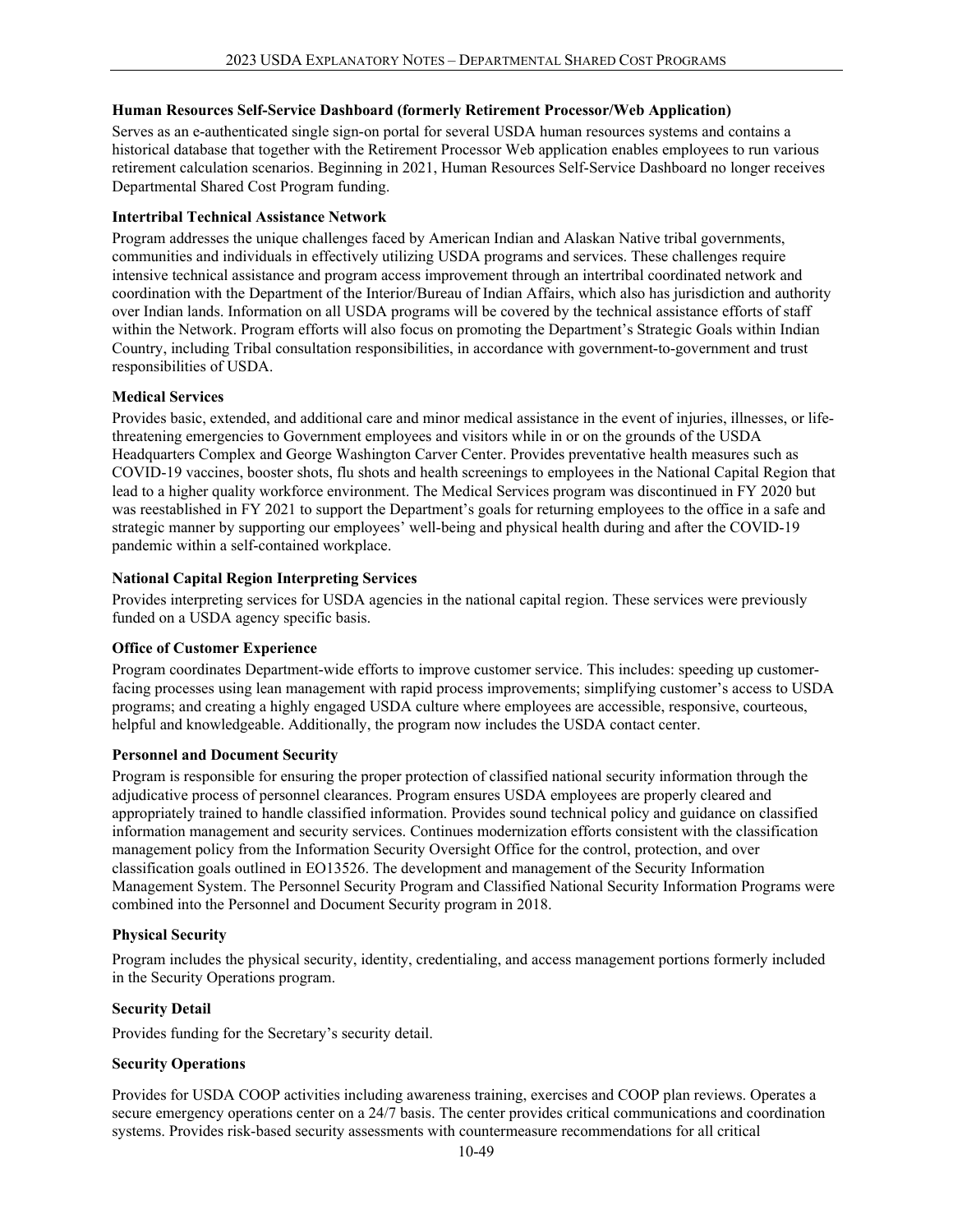## **Human Resources Self-Service Dashboard (formerly Retirement Processor/Web Application)**

Serves as an e-authenticated single sign-on portal for several USDA human resources systems and contains a historical database that together with the Retirement Processor Web application enables employees to run various retirement calculation scenarios. Beginning in 2021, Human Resources Self-Service Dashboard no longer receives Departmental Shared Cost Program funding.

## **Intertribal Technical Assistance Network**

Program addresses the unique challenges faced by American Indian and Alaskan Native tribal governments, communities and individuals in effectively utilizing USDA programs and services. These challenges require intensive technical assistance and program access improvement through an intertribal coordinated network and coordination with the Department of the Interior/Bureau of Indian Affairs, which also has jurisdiction and authority over Indian lands. Information on all USDA programs will be covered by the technical assistance efforts of staff within the Network. Program efforts will also focus on promoting the Department's Strategic Goals within Indian Country, including Tribal consultation responsibilities, in accordance with government-to-government and trust responsibilities of USDA.

## **Medical Services**

Provides basic, extended, and additional care and minor medical assistance in the event of injuries, illnesses, or lifethreatening emergencies to Government employees and visitors while in or on the grounds of the USDA Headquarters Complex and George Washington Carver Center. Provides preventative health measures such as COVID-19 vaccines, booster shots, flu shots and health screenings to employees in the National Capital Region that lead to a higher quality workforce environment. The Medical Services program was discontinued in FY 2020 but was reestablished in FY 2021 to support the Department's goals for returning employees to the office in a safe and strategic manner by supporting our employees' well-being and physical health during and after the COVID-19 pandemic within a self-contained workplace.

## **National Capital Region Interpreting Services**

Provides interpreting services for USDA agencies in the national capital region. These services were previously funded on a USDA agency specific basis.

## **Office of Customer Experience**

Program coordinates Department-wide efforts to improve customer service. This includes: speeding up customerfacing processes using lean management with rapid process improvements; simplifying customer's access to USDA programs; and creating a highly engaged USDA culture where employees are accessible, responsive, courteous, helpful and knowledgeable. Additionally, the program now includes the USDA contact center.

## **Personnel and Document Security**

Program is responsible for ensuring the proper protection of classified national security information through the adjudicative process of personnel clearances. Program ensures USDA employees are properly cleared and appropriately trained to handle classified information. Provides sound technical policy and guidance on classified information management and security services. Continues modernization efforts consistent with the classification management policy from the Information Security Oversight Office for the control, protection, and over classification goals outlined in EO13526. The development and management of the Security Information Management System. The Personnel Security Program and Classified National Security Information Programs were combined into the Personnel and Document Security program in 2018.

## **Physical Security**

Program includes the physical security, identity, credentialing, and access management portions formerly included in the Security Operations program.

## **Security Detail**

Provides funding for the Secretary's security detail.

## **Security Operations**

Provides for USDA COOP activities including awareness training, exercises and COOP plan reviews. Operates a secure emergency operations center on a 24/7 basis. The center provides critical communications and coordination systems. Provides risk-based security assessments with countermeasure recommendations for all critical